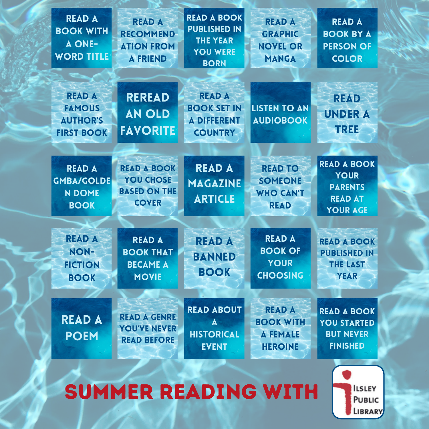| <b>READ A</b><br><b>BOOK WITH</b><br><b>A ONE-</b><br><b>WORD TITLE</b> | <b>READ A</b><br><b>RECOMMEND</b><br><b>ATION FROM</b><br><b>A FRIEND</b>     | <b>READ A BOOK</b><br><b>PUBLISHED IN</b><br><b>THE YEAR</b><br><b>YOU WERE</b><br><b>BORN</b> | <b>READ A</b><br><b>GRAPHIC</b><br><b>NOVEL OR</b><br><b>MANGA</b>     | <b>READ A</b><br><b>BOOK BY A</b><br><b>PERSON OF</b><br><b>COLOR</b>                    |
|-------------------------------------------------------------------------|-------------------------------------------------------------------------------|------------------------------------------------------------------------------------------------|------------------------------------------------------------------------|------------------------------------------------------------------------------------------|
| <b>READ A</b><br><b>FAMOUS</b><br><b>AUTHOR'S</b><br><b>FIRST BOOK</b>  | <b>REREAD</b><br><b>AN OLD</b><br><b>FAVORITE</b>                             | <b>READ A</b><br><b>BOOK SET IN</b><br><b>A DIFFERENT</b><br><b>COUNTRY</b>                    | <b>LISTEN TO AN</b><br><b>AUDIOBOOK</b>                                | <b>READ</b><br><b>UNDER A</b><br><b>TREE</b>                                             |
| <b>READ A</b><br><b>GMBA/GOLDE</b><br><b>N DOME</b><br><b>BOOK</b>      | <b>READ A BOOK</b><br><b>YOU CHOSE</b><br><b>BASED ON THE</b><br><b>COVER</b> | <b>READ A</b><br><b>MAGAZINE</b><br><b>ARTICLE</b>                                             | <b>READ TO</b><br><b>SOMEONE</b><br><b>WHO CAN'T</b><br><b>READ</b>    | <b>READ A BOOK</b><br><b>YOUR</b><br><b>PARENTS</b><br><b>READ AT</b><br><b>YOUR AGE</b> |
| <b>READ A</b><br><b>NON-</b><br><b>FICTION</b><br><b>BOOK</b>           | <b>READ A</b><br><b>BOOK THAT</b><br><b>BECAME A</b><br><b>MOVIE</b>          | <b>READ A</b><br><b>BANNED</b><br><b>BOOK</b>                                                  | <b>READ A</b><br><b>BOOK OF</b><br><b>YOUR</b><br><b>CHOOSING</b>      | <b>READ A BOOK</b><br><b>PUBLISHED IN</b><br><b>THE LAST</b><br><b>YEAR</b>              |
| <b>READ A</b><br><b>POEM</b>                                            | <b>READ A GENRE</b><br><b>YOU'VE NEVER</b><br><b>READ BEFORE</b>              | <b>READ ABOUT</b><br><b>HISTORICAL</b><br><b>EVENT</b>                                         | <b>READ A</b><br><b>BOOK WITH</b><br><b>A FEMALE</b><br><b>HEROINE</b> | <b>READ A BOOK</b><br><b>YOU STARTED</b><br><b>BUT NEVER</b><br><b>FINISHED</b>          |

Summer Reading with